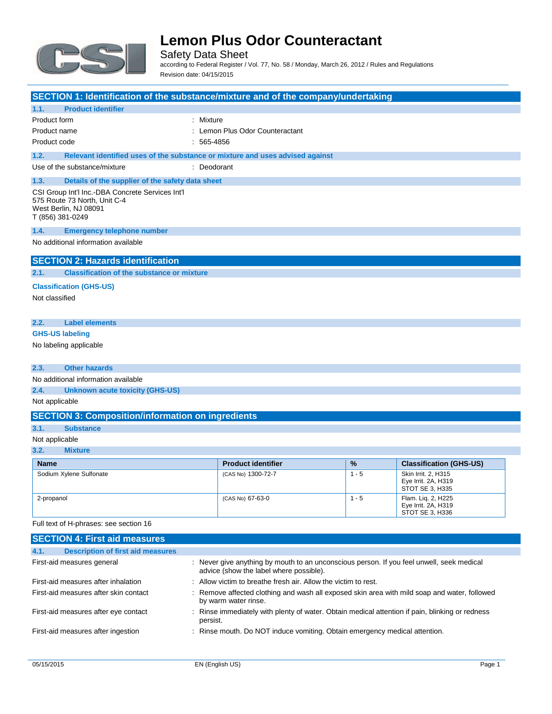

Safety Data Sheet according to Federal Register / Vol. 77, No. 58 / Monday, March 26, 2012 / Rules and Regulations Revision date: 04/15/2015

|                                                           | SECTION 1: Identification of the substance/mixture and of the company/undertaking                                             |             |                               |               |                                |
|-----------------------------------------------------------|-------------------------------------------------------------------------------------------------------------------------------|-------------|-------------------------------|---------------|--------------------------------|
| 1.1.                                                      | <b>Product identifier</b>                                                                                                     |             |                               |               |                                |
|                                                           | Product form                                                                                                                  | Mixture     |                               |               |                                |
|                                                           | Product name                                                                                                                  |             | Lemon Plus Odor Counteractant |               |                                |
|                                                           | Product code                                                                                                                  | : 565-4856  |                               |               |                                |
| 1.2.                                                      | Relevant identified uses of the substance or mixture and uses advised against                                                 |             |                               |               |                                |
|                                                           | Use of the substance/mixture                                                                                                  | : Deodorant |                               |               |                                |
| 1.3.                                                      | Details of the supplier of the safety data sheet                                                                              |             |                               |               |                                |
|                                                           | CSI Group Int'l Inc.-DBA Concrete Services Int'l<br>575 Route 73 North, Unit C-4<br>West Berlin, NJ 08091<br>T (856) 381-0249 |             |                               |               |                                |
| 1.4.                                                      | <b>Emergency telephone number</b>                                                                                             |             |                               |               |                                |
|                                                           | No additional information available                                                                                           |             |                               |               |                                |
|                                                           |                                                                                                                               |             |                               |               |                                |
|                                                           | <b>SECTION 2: Hazards identification</b>                                                                                      |             |                               |               |                                |
| 2.1.<br><b>Classification of the substance or mixture</b> |                                                                                                                               |             |                               |               |                                |
|                                                           | <b>Classification (GHS-US)</b>                                                                                                |             |                               |               |                                |
|                                                           | Not classified                                                                                                                |             |                               |               |                                |
|                                                           |                                                                                                                               |             |                               |               |                                |
| 2.2.                                                      | <b>Label elements</b>                                                                                                         |             |                               |               |                                |
| <b>GHS-US labeling</b>                                    |                                                                                                                               |             |                               |               |                                |
|                                                           | No labeling applicable                                                                                                        |             |                               |               |                                |
|                                                           |                                                                                                                               |             |                               |               |                                |
| 2.3.                                                      | <b>Other hazards</b>                                                                                                          |             |                               |               |                                |
|                                                           | No additional information available                                                                                           |             |                               |               |                                |
| 2.4.<br><b>Unknown acute toxicity (GHS-US)</b>            |                                                                                                                               |             |                               |               |                                |
|                                                           | Not applicable                                                                                                                |             |                               |               |                                |
|                                                           |                                                                                                                               |             |                               |               |                                |
|                                                           | <b>SECTION 3: Composition/information on ingredients</b>                                                                      |             |                               |               |                                |
| 3.1.                                                      | <b>Substance</b>                                                                                                              |             |                               |               |                                |
|                                                           | Not applicable                                                                                                                |             |                               |               |                                |
| 3.2.                                                      | <b>Mixture</b>                                                                                                                |             |                               |               |                                |
| <b>Name</b>                                               |                                                                                                                               |             | <b>Product identifier</b>     | $\frac{9}{6}$ | <b>Classification (GHS-US)</b> |

| name                    | <b>Product Identifier</b> | 70      | <b>Classification (GHS-US)</b>                                |
|-------------------------|---------------------------|---------|---------------------------------------------------------------|
| Sodium Xylene Sulfonate | (CAS No) 1300-72-7        | $1 - 5$ | Skin Irrit, 2, H315<br>Eve Irrit, 2A, H319<br>STOT SE 3. H335 |
| 2-propanol              | (CAS No) 67-63-0          | - 5     | Flam. Lig. 2, H225<br>Eye Irrit. 2A, H319<br>STOT SE 3. H336  |

Full text of H-phrases: see section 16

| <b>SECTION 4: First aid measures</b>             |                                                                                                                                      |
|--------------------------------------------------|--------------------------------------------------------------------------------------------------------------------------------------|
| 4.1.<br><b>Description of first aid measures</b> |                                                                                                                                      |
| First-aid measures general                       | : Never give anything by mouth to an unconscious person. If you feel unwell, seek medical<br>advice (show the label where possible). |
| First-aid measures after inhalation              | : Allow victim to breathe fresh air. Allow the victim to rest.                                                                       |
| First-aid measures after skin contact            | : Remove affected clothing and wash all exposed skin area with mild soap and water, followed<br>by warm water rinse.                 |
| First-aid measures after eye contact             | : Rinse immediately with plenty of water. Obtain medical attention if pain, blinking or redness<br>persist.                          |
| First-aid measures after ingestion               | : Rinse mouth. Do NOT induce vomiting. Obtain emergency medical attention.                                                           |
|                                                  |                                                                                                                                      |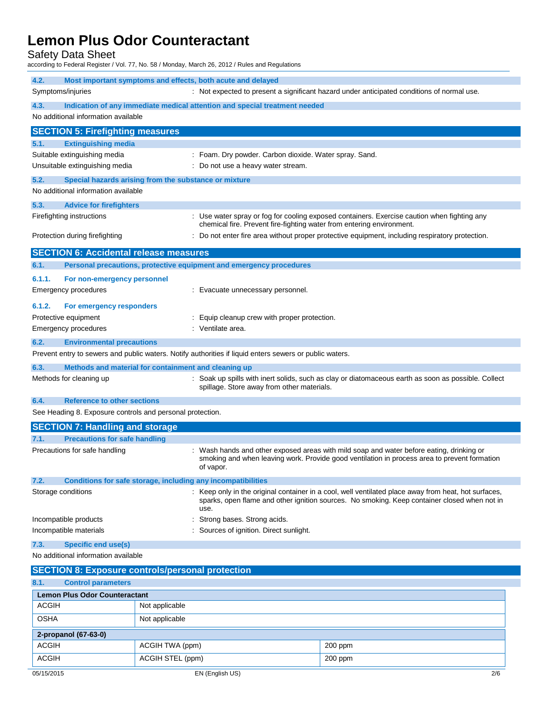Safety Data Sheet

according to Federal Register / Vol. 77, No. 58 / Monday, March 26, 2012 / Rules and Regulations

| 4.2.               | Most important symptoms and effects, both acute and delayed         |                                                                                                                                                                                                              |
|--------------------|---------------------------------------------------------------------|--------------------------------------------------------------------------------------------------------------------------------------------------------------------------------------------------------------|
| Symptoms/injuries  |                                                                     | : Not expected to present a significant hazard under anticipated conditions of normal use.                                                                                                                   |
| 4.3.               |                                                                     | Indication of any immediate medical attention and special treatment needed                                                                                                                                   |
|                    | No additional information available                                 |                                                                                                                                                                                                              |
|                    | <b>SECTION 5: Firefighting measures</b>                             |                                                                                                                                                                                                              |
| 5.1.               | <b>Extinguishing media</b>                                          |                                                                                                                                                                                                              |
|                    | Suitable extinguishing media                                        | : Foam. Dry powder. Carbon dioxide. Water spray. Sand.                                                                                                                                                       |
|                    | Unsuitable extinguishing media                                      | : Do not use a heavy water stream.                                                                                                                                                                           |
| 5.2.               | Special hazards arising from the substance or mixture               |                                                                                                                                                                                                              |
|                    | No additional information available                                 |                                                                                                                                                                                                              |
| 5.3.               | <b>Advice for firefighters</b>                                      |                                                                                                                                                                                                              |
|                    | Firefighting instructions                                           | : Use water spray or fog for cooling exposed containers. Exercise caution when fighting any<br>chemical fire. Prevent fire-fighting water from entering environment.                                         |
|                    | Protection during firefighting                                      | : Do not enter fire area without proper protective equipment, including respiratory protection.                                                                                                              |
|                    | <b>SECTION 6: Accidental release measures</b>                       |                                                                                                                                                                                                              |
| 6.1.               | Personal precautions, protective equipment and emergency procedures |                                                                                                                                                                                                              |
| 6.1.1.             | For non-emergency personnel                                         |                                                                                                                                                                                                              |
|                    | Emergency procedures                                                | : Evacuate unnecessary personnel.                                                                                                                                                                            |
| 6.1.2.             | For emergency responders                                            |                                                                                                                                                                                                              |
|                    | Protective equipment                                                | : Equip cleanup crew with proper protection.                                                                                                                                                                 |
|                    | Emergency procedures                                                | : Ventilate area.                                                                                                                                                                                            |
| 6.2.               | <b>Environmental precautions</b>                                    |                                                                                                                                                                                                              |
|                    |                                                                     | Prevent entry to sewers and public waters. Notify authorities if liquid enters sewers or public waters.                                                                                                      |
| 6.3.               | Methods and material for containment and cleaning up                |                                                                                                                                                                                                              |
|                    | Methods for cleaning up                                             | : Soak up spills with inert solids, such as clay or diatomaceous earth as soon as possible. Collect<br>spillage. Store away from other materials.                                                            |
| 6.4.               | <b>Reference to other sections</b>                                  |                                                                                                                                                                                                              |
|                    | See Heading 8. Exposure controls and personal protection.           |                                                                                                                                                                                                              |
|                    | <b>SECTION 7: Handling and storage</b>                              |                                                                                                                                                                                                              |
| 7.1.               | <b>Precautions for safe handling</b>                                |                                                                                                                                                                                                              |
|                    | Precautions for safe handling                                       | : Wash hands and other exposed areas with mild soap and water before eating, drinking or<br>smoking and when leaving work. Provide good ventilation in process area to prevent formation<br>of vapor.        |
| 7.2.               | Conditions for safe storage, including any incompatibilities        |                                                                                                                                                                                                              |
| Storage conditions |                                                                     | : Keep only in the original container in a cool, well ventilated place away from heat, hot surfaces,<br>sparks, open flame and other ignition sources. No smoking. Keep container closed when not in<br>use. |
|                    | Incompatible products                                               | Strong bases. Strong acids.                                                                                                                                                                                  |
|                    | Incompatible materials                                              | : Sources of ignition. Direct sunlight.                                                                                                                                                                      |
| 7.3.               | Specific end use(s)                                                 |                                                                                                                                                                                                              |
|                    | No additional information available                                 |                                                                                                                                                                                                              |
|                    | <b>SECTION 8: Exposure controls/personal protection</b>             |                                                                                                                                                                                                              |
| 8.1.               | <b>Control parameters</b>                                           |                                                                                                                                                                                                              |
|                    | <b>Lemon Plus Odor Counteractant</b>                                |                                                                                                                                                                                                              |
|                    |                                                                     |                                                                                                                                                                                                              |

| <b>ACGIH</b>         | Not applicable   |           |
|----------------------|------------------|-----------|
| <b>OSHA</b>          | Not applicable   |           |
| 2-propanol (67-63-0) |                  |           |
| <b>ACGIH</b>         | ACGIH TWA (ppm)  | $200$ ppm |
| <b>ACGIH</b>         | ACGIH STEL (ppm) | $200$ ppm |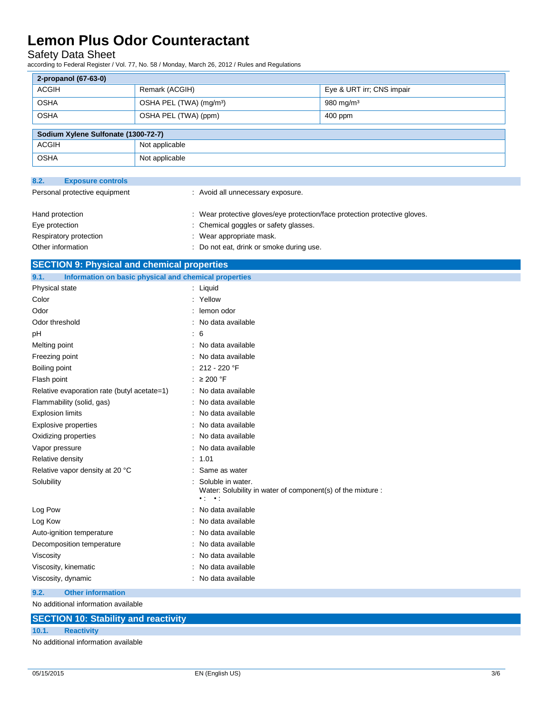### Safety Data Sheet

according to Federal Register / Vol. 77, No. 58 / Monday, March 26, 2012 / Rules and Regulations

| 2-propanol (67-63-0)                |                                     |                           |  |  |
|-------------------------------------|-------------------------------------|---------------------------|--|--|
| <b>ACGIH</b>                        | Remark (ACGIH)                      | Eye & URT irr; CNS impair |  |  |
| <b>OSHA</b>                         | OSHA PEL (TWA) (mg/m <sup>3</sup> ) | 980 mg/m $3$              |  |  |
| <b>OSHA</b>                         | OSHA PEL (TWA) (ppm)                | 400 ppm                   |  |  |
|                                     |                                     |                           |  |  |
| Sodium Xylene Sulfonate (1300-72-7) |                                     |                           |  |  |
| <b>ACGIH</b>                        | Not applicable                      |                           |  |  |
| <b>OSHA</b>                         | Not applicable                      |                           |  |  |

| 8.2.                          | <b>Exposure controls</b> |                                                                            |
|-------------------------------|--------------------------|----------------------------------------------------------------------------|
| Personal protective equipment |                          | : Avoid all unnecessary exposure.                                          |
|                               | Hand protection          | : Wear protective gloves/eye protection/face protection protective gloves. |
|                               | Eye protection           | : Chemical goggles or safety glasses.                                      |
|                               | Respiratory protection   | : Wear appropriate mask.                                                   |
|                               | Other information        | : Do not eat, drink or smoke during use.                                   |

| <b>SECTION 9: Physical and chemical properties</b>    |
|-------------------------------------------------------|
| Information on basic physical and chemical properties |

| Physical state                              | Liquid                                                                                                                |
|---------------------------------------------|-----------------------------------------------------------------------------------------------------------------------|
| Color                                       | Yellow                                                                                                                |
| Odor                                        | lemon odor                                                                                                            |
| Odor threshold                              | No data available                                                                                                     |
| pH                                          | 6                                                                                                                     |
| Melting point                               | No data available                                                                                                     |
| Freezing point                              | No data available                                                                                                     |
| Boiling point                               | 212 - 220 °F                                                                                                          |
| Flash point                                 | $\geq$ 200 °F                                                                                                         |
| Relative evaporation rate (butyl acetate=1) | : No data available                                                                                                   |
| Flammability (solid, gas)                   | No data available                                                                                                     |
| <b>Explosion limits</b>                     | No data available                                                                                                     |
| <b>Explosive properties</b>                 | No data available                                                                                                     |
| Oxidizing properties                        | No data available                                                                                                     |
| Vapor pressure                              | No data available                                                                                                     |
| Relative density                            | 1.01                                                                                                                  |
| Relative vapor density at 20 °C             | Same as water                                                                                                         |
| Solubility                                  | Soluble in water.<br>Water: Solubility in water of component(s) of the mixture :<br>$\bullet$ ( $\bullet$ ) $\bullet$ |
| Log Pow                                     | No data available                                                                                                     |
| Log Kow                                     | No data available                                                                                                     |
| Auto-ignition temperature                   | No data available                                                                                                     |
| Decomposition temperature                   | No data available                                                                                                     |
| Viscosity                                   | No data available                                                                                                     |
| Viscosity, kinematic                        | No data available                                                                                                     |
| Viscosity, dynamic                          | No data available                                                                                                     |
| <b>Other information</b><br>9.2.            |                                                                                                                       |
| No additional information available         |                                                                                                                       |

**SECTION 10: Stability and reactivity**

#### **10.1. Reactivity**

No additional information available

٠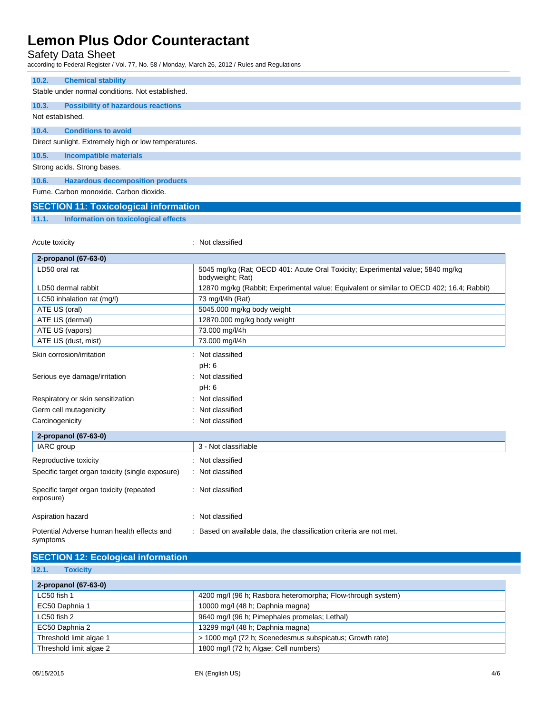### Safety Data Sheet

according to Federal Register / Vol. 77, No. 58 / Monday, March 26, 2012 / Rules and Regulations

| 10.2.                                                | <b>Chemical stability</b>                        |  |  |
|------------------------------------------------------|--------------------------------------------------|--|--|
|                                                      | Stable under normal conditions. Not established. |  |  |
|                                                      |                                                  |  |  |
| 10.3.                                                | <b>Possibility of hazardous reactions</b>        |  |  |
|                                                      | Not established.                                 |  |  |
|                                                      |                                                  |  |  |
| 10.4.                                                | <b>Conditions to avoid</b>                       |  |  |
| Direct sunlight. Extremely high or low temperatures. |                                                  |  |  |
| 10.5.                                                | <b>Incompatible materials</b>                    |  |  |
|                                                      | Strong acids. Strong bases.                      |  |  |
|                                                      |                                                  |  |  |
| 10.6.                                                | <b>Hazardous decomposition products</b>          |  |  |
|                                                      | Fume, Carbon monoxide, Carbon dioxide.           |  |  |
|                                                      | <b>SECTION 11: Toxicological information</b>     |  |  |

**11.1. Information on toxicological effects**

| Acute toxicity                                         | : Not classified                                                                                   |
|--------------------------------------------------------|----------------------------------------------------------------------------------------------------|
| 2-propanol (67-63-0)                                   |                                                                                                    |
| LD50 oral rat                                          | 5045 mg/kg (Rat; OECD 401: Acute Oral Toxicity; Experimental value; 5840 mg/kg<br>bodyweight; Rat) |
| LD50 dermal rabbit                                     | 12870 mg/kg (Rabbit; Experimental value; Equivalent or similar to OECD 402; 16.4; Rabbit)          |
| LC50 inhalation rat (mg/l)                             | 73 mg/l/4h (Rat)                                                                                   |
| ATE US (oral)                                          | 5045.000 mg/kg body weight                                                                         |
| ATE US (dermal)                                        | 12870.000 mg/kg body weight                                                                        |
| ATE US (vapors)                                        | 73.000 mg/l/4h                                                                                     |
| ATE US (dust, mist)                                    | 73.000 mg/l/4h                                                                                     |
| Skin corrosion/irritation                              | Not classified                                                                                     |
|                                                        | pH: 6                                                                                              |
| Serious eye damage/irritation                          | : Not classified                                                                                   |
|                                                        | pH: 6                                                                                              |
| Respiratory or skin sensitization                      | Not classified                                                                                     |
| Germ cell mutagenicity                                 | Not classified                                                                                     |
| Carcinogenicity                                        | Not classified                                                                                     |
| 2-propanol (67-63-0)                                   |                                                                                                    |
| IARC group                                             | 3 - Not classifiable                                                                               |
| Reproductive toxicity                                  | : Not classified                                                                                   |
| Specific target organ toxicity (single exposure)       | Not classified                                                                                     |
| Specific target organ toxicity (repeated<br>exposure)  | : Not classified                                                                                   |
| Aspiration hazard                                      | Not classified<br>٠                                                                                |
| Potential Adverse human health effects and<br>symptoms | : Based on available data, the classification criteria are not met.                                |

### **SECTION 12: Ecological information**

**12.1. Toxicity**

| 2-propanol (67-63-0)    |                                                             |  |
|-------------------------|-------------------------------------------------------------|--|
| LC50 fish 1             | 4200 mg/l (96 h; Rasbora heteromorpha; Flow-through system) |  |
| EC50 Daphnia 1          | 10000 mg/l (48 h; Daphnia magna)                            |  |
| LC50 fish 2             | 9640 mg/l (96 h; Pimephales promelas; Lethal)               |  |
| EC50 Daphnia 2          | 13299 mg/l (48 h; Daphnia magna)                            |  |
| Threshold limit algae 1 | > 1000 mg/l (72 h; Scenedesmus subspicatus; Growth rate)    |  |
| Threshold limit algae 2 | 1800 mg/l (72 h; Algae; Cell numbers)                       |  |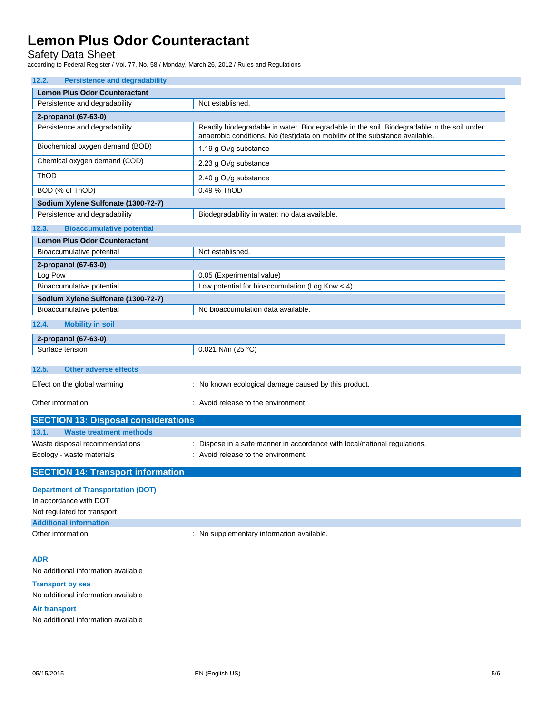### Safety Data Sheet

according to Federal Register / Vol. 77, No. 58 / Monday, March 26, 2012 / Rules and Regulations

| 12.2.<br><b>Persistence and degradability</b>                  |                                                                                                                                                                           |
|----------------------------------------------------------------|---------------------------------------------------------------------------------------------------------------------------------------------------------------------------|
| <b>Lemon Plus Odor Counteractant</b>                           |                                                                                                                                                                           |
| Persistence and degradability                                  | Not established.                                                                                                                                                          |
| 2-propanol (67-63-0)                                           |                                                                                                                                                                           |
| Persistence and degradability                                  | Readily biodegradable in water. Biodegradable in the soil. Biodegradable in the soil under<br>anaerobic conditions. No (test)data on mobility of the substance available. |
| Biochemical oxygen demand (BOD)                                | 1.19 g O <sub>2</sub> /g substance                                                                                                                                        |
| Chemical oxygen demand (COD)                                   | 2.23 g O <sub>2</sub> /g substance                                                                                                                                        |
| ThOD                                                           | 2.40 g O <sub>2</sub> /g substance                                                                                                                                        |
| BOD (% of ThOD)                                                | 0.49 % ThOD                                                                                                                                                               |
| Sodium Xylene Sulfonate (1300-72-7)                            |                                                                                                                                                                           |
| Persistence and degradability                                  | Biodegradability in water: no data available.                                                                                                                             |
| <b>Bioaccumulative potential</b><br>12.3.                      |                                                                                                                                                                           |
| <b>Lemon Plus Odor Counteractant</b>                           |                                                                                                                                                                           |
| Bioaccumulative potential                                      | Not established.                                                                                                                                                          |
| 2-propanol (67-63-0)                                           |                                                                                                                                                                           |
| Log Pow                                                        | 0.05 (Experimental value)                                                                                                                                                 |
| Bioaccumulative potential                                      | Low potential for bioaccumulation (Log Kow $<$ 4).                                                                                                                        |
| Sodium Xylene Sulfonate (1300-72-7)                            |                                                                                                                                                                           |
| Bioaccumulative potential                                      | No bioaccumulation data available.                                                                                                                                        |
| 12.4.<br><b>Mobility in soil</b>                               |                                                                                                                                                                           |
| 2-propanol (67-63-0)                                           |                                                                                                                                                                           |
| Surface tension                                                | 0.021 N/m (25 °C)                                                                                                                                                         |
| <b>Other adverse effects</b><br>12.5.                          |                                                                                                                                                                           |
| Effect on the global warming                                   | : No known ecological damage caused by this product.                                                                                                                      |
|                                                                |                                                                                                                                                                           |
| Other information                                              | : Avoid release to the environment.                                                                                                                                       |
| <b>SECTION 13: Disposal considerations</b>                     |                                                                                                                                                                           |
| 13.1.<br><b>Waste treatment methods</b>                        |                                                                                                                                                                           |
| Waste disposal recommendations                                 | : Dispose in a safe manner in accordance with local/national regulations.                                                                                                 |
| Ecology - waste materials                                      | : Avoid release to the environment.                                                                                                                                       |
| <b>SECTION 14: Transport information</b>                       |                                                                                                                                                                           |
| <b>Department of Transportation (DOT)</b>                      |                                                                                                                                                                           |
| In accordance with DOT                                         |                                                                                                                                                                           |
| Not regulated for transport                                    |                                                                                                                                                                           |
| <b>Additional information</b>                                  |                                                                                                                                                                           |
| Other information                                              | : No supplementary information available.                                                                                                                                 |
|                                                                |                                                                                                                                                                           |
| <b>ADR</b>                                                     |                                                                                                                                                                           |
| No additional information available                            |                                                                                                                                                                           |
| <b>Transport by sea</b><br>No additional information available |                                                                                                                                                                           |
| Air transport                                                  |                                                                                                                                                                           |

No additional information available